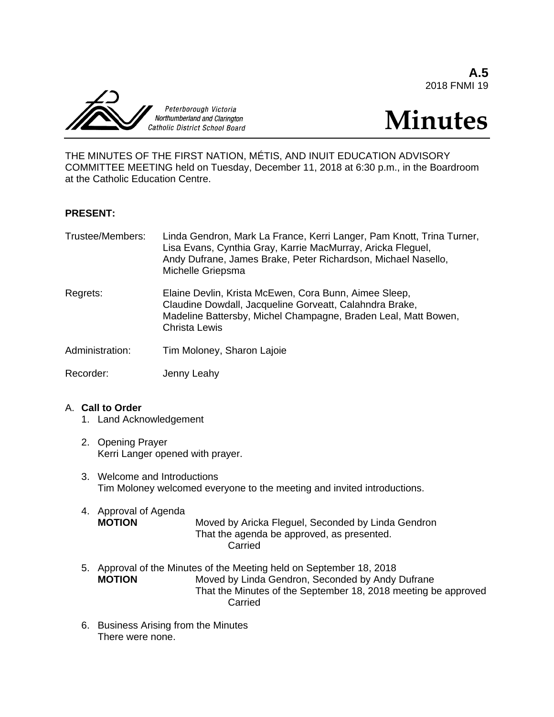**A.5** 2018 FNMI 19



# **Minutes**

THE MINUTES OF THE FIRST NATION, MÉTIS, AND INUIT EDUCATION ADVISORY COMMITTEE MEETING held on Tuesday, December 11, 2018 at 6:30 p.m., in the Boardroom at the Catholic Education Centre.

#### **PRESENT:**

| Trustee/Members: | Linda Gendron, Mark La France, Kerri Langer, Pam Knott, Trina Turner,<br>Lisa Evans, Cynthia Gray, Karrie MacMurray, Aricka Fleguel,<br>Andy Dufrane, James Brake, Peter Richardson, Michael Nasello,<br>Michelle Griepsma |
|------------------|----------------------------------------------------------------------------------------------------------------------------------------------------------------------------------------------------------------------------|
| Regrets:         | Elaine Devlin, Krista McEwen, Cora Bunn, Aimee Sleep,<br>Claudine Dowdall, Jacqueline Gorveatt, Calahndra Brake,<br>Madeline Battersby, Michel Champagne, Braden Leal, Matt Bowen,<br><b>Christa Lewis</b>                 |
| Administration:  | Tim Moloney, Sharon Lajoie                                                                                                                                                                                                 |
| Recorder:        | Jenny Leahy                                                                                                                                                                                                                |

#### A. **Call to Order**

- 1. Land Acknowledgement
- 2. Opening Prayer Kerri Langer opened with prayer.
- 3. Welcome and Introductions Tim Moloney welcomed everyone to the meeting and invited introductions.
- 4. Approval of Agenda **MOTION** Moved by Aricka Fleguel, Seconded by Linda Gendron That the agenda be approved, as presented. **Carried**
- 5. Approval of the Minutes of the Meeting held on September 18, 2018 **MOTION** Moved by Linda Gendron, Seconded by Andy Dufrane That the Minutes of the September 18, 2018 meeting be approved Carried
- 6. Business Arising from the Minutes There were none.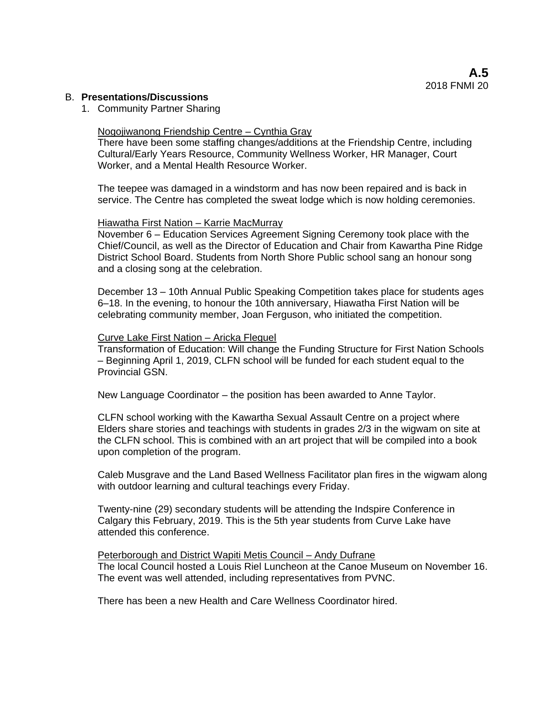#### B. **Presentations/Discussions**

1. Community Partner Sharing

#### Nogojiwanong Friendship Centre – Cynthia Gray

There have been some staffing changes/additions at the Friendship Centre, including Cultural/Early Years Resource, Community Wellness Worker, HR Manager, Court Worker, and a Mental Health Resource Worker.

The teepee was damaged in a windstorm and has now been repaired and is back in service. The Centre has completed the sweat lodge which is now holding ceremonies.

#### Hiawatha First Nation – Karrie MacMurray

November 6 – Education Services Agreement Signing Ceremony took place with the Chief/Council, as well as the Director of Education and Chair from Kawartha Pine Ridge District School Board. Students from North Shore Public school sang an honour song and a closing song at the celebration.

December 13 – 10th Annual Public Speaking Competition takes place for students ages 6–18. In the evening, to honour the 10th anniversary, Hiawatha First Nation will be celebrating community member, Joan Ferguson, who initiated the competition.

#### Curve Lake First Nation – Aricka Fleguel

Transformation of Education: Will change the Funding Structure for First Nation Schools – Beginning April 1, 2019, CLFN school will be funded for each student equal to the Provincial GSN.

New Language Coordinator – the position has been awarded to Anne Taylor.

CLFN school working with the Kawartha Sexual Assault Centre on a project where Elders share stories and teachings with students in grades 2/3 in the wigwam on site at the CLFN school. This is combined with an art project that will be compiled into a book upon completion of the program.

Caleb Musgrave and the Land Based Wellness Facilitator plan fires in the wigwam along with outdoor learning and cultural teachings every Friday.

Twenty-nine (29) secondary students will be attending the Indspire Conference in Calgary this February, 2019. This is the 5th year students from Curve Lake have attended this conference.

Peterborough and District Wapiti Metis Council – Andy Dufrane The local Council hosted a Louis Riel Luncheon at the Canoe Museum on November 16. The event was well attended, including representatives from PVNC.

There has been a new Health and Care Wellness Coordinator hired.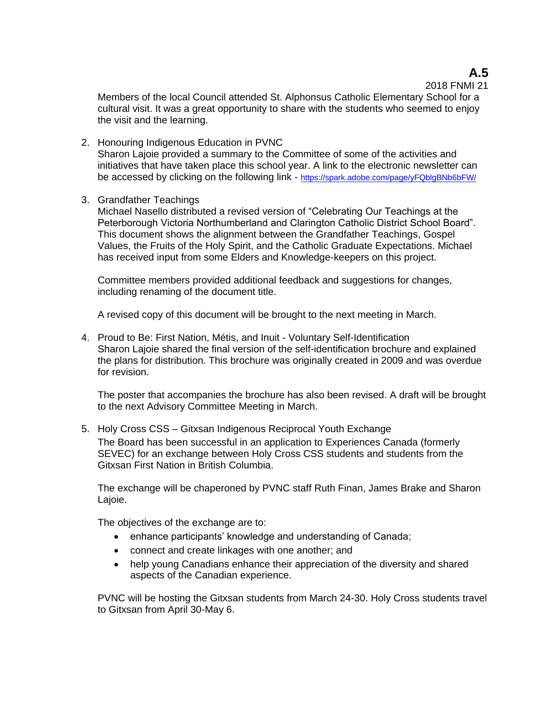# **A.5**

2018 FNMI 21

Members of the local Council attended St. Alphonsus Catholic Elementary School for a cultural visit. It was a great opportunity to share with the students who seemed to enjoy the visit and the learning.

- 2. Honouring Indigenous Education in PVNC Sharon Lajoie provided a summary to the Committee of some of the activities and initiatives that have taken place this school year. A link to the electronic newsletter can be accessed by clicking on the following link - <https://spark.adobe.com/page/yFQblgBNb6bFW/>
- 3. Grandfather Teachings

Michael Nasello distributed a revised version of "Celebrating Our Teachings at the Peterborough Victoria Northumberland and Clarington Catholic District School Board". This document shows the alignment between the Grandfather Teachings, Gospel Values, the Fruits of the Holy Spirit, and the Catholic Graduate Expectations. Michael has received input from some Elders and Knowledge-keepers on this project.

Committee members provided additional feedback and suggestions for changes, including renaming of the document title.

A revised copy of this document will be brought to the next meeting in March.

4. Proud to Be: First Nation, Métis, and Inuit - Voluntary Self-Identification Sharon Lajoie shared the final version of the self-identification brochure and explained the plans for distribution. This brochure was originally created in 2009 and was overdue for revision.

The poster that accompanies the brochure has also been revised. A draft will be brought to the next Advisory Committee Meeting in March.

5. Holy Cross CSS – Gitxsan Indigenous Reciprocal Youth Exchange The Board has been successful in an application to Experiences Canada (formerly SEVEC) for an exchange between Holy Cross CSS students and students from the Gitxsan First Nation in British Columbia.

The exchange will be chaperoned by PVNC staff Ruth Finan, James Brake and Sharon Lajoie.

The objectives of the exchange are to:

- enhance participants' knowledge and understanding of Canada;
- connect and create linkages with one another; and
- help young Canadians enhance their appreciation of the diversity and shared aspects of the Canadian experience.

PVNC will be hosting the Gitxsan students from March 24-30. Holy Cross students travel to Gitxsan from April 30-May 6.